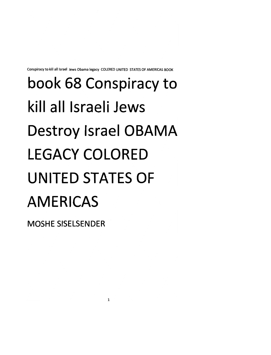*Conspiracy to kill all Israel Jews Obama legacy COLERED UNITED STATESOF AMERICAS BOOK*

#### *book 68 Conspiracy to kill all Israeli Jews Destroy Israel OBAMA LEGACY COLORED UNITED STATES OF AMERICAS*

*MOSHESISELSENDER*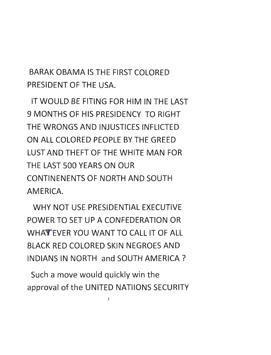BARAK OBAMA IS THE FIRST COLORED PRESIDENT OF THE USA.

IT WOULD BE FITING FOR HIM IN THE LAST 9 MONTHS OF HIS PRESIDENCY TO RIGHT THE WRONGS AND INJUSTICES INFLICTED ON ALL COLORED PEOPLE BY THE GREED LUST AND THEFT OF THE WHITE MAN FOR THE LAST 500 YEARS ON OUR CONTINENENTS OF NORTH AND SOUTH AMERICA.

WHY NOT USE PRESIDENTIAL EXECUTIVE POWER TO SET UP A CONFEDERATION OR WHAT EVER YOU WANT TO CALL IT OF ALL BLACK RED COLORED SKIN NEGROES AND INDIANS IN NORTH and SOUTH AMERICA ?

Such a move would quickly win the approval of the UNITED NATIIONS SECURITY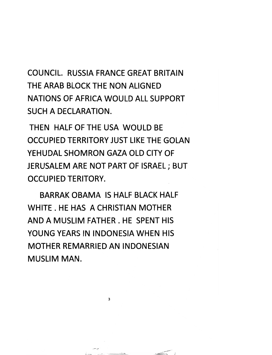*COUNCIL RUSSIA FRANCE GREAT BRITAIN THE ARAB BLOCK THE NON ALIGNED NATIONS OF AFRICA WOULD ALL SUPPORT SUCH A DECLARATION.*

*THEN HALF OF THE USA WOULD BE OCCUPIED TERRITORY JUST LIKE THE GOLAN YEHUDAL SHOMRON GAZA OLD CITY OF JERUSALEM ARE NOT PART OF ISRAEL; BUT OCCUPIED TERITORY.*

*BARRAK OBAMA IS HALF BLACK HALF WHITE . HE HAS A CHRISTIAN MOTHER AND A MUSLIM FATHER . HE SPENT HIS YOUNG YEARS IN INDONESIA WHEN HIS MOTHER REMARRIED AN INDONESIAN MUSLIM MAN.*

 $\overline{\mathbf{3}}$ 

and a series committee of the committee of the committee of the committee of the committee of

 $\sim$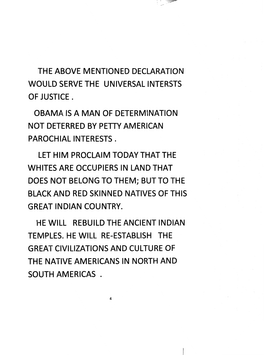*THE ABOVE MENTIONED DECLARATION WOULD SERVE THE UNIVERSAL INTERSTS OF JUSTICE.*

مسرد

*OBAMA IS A MAN OF DETERMINATION NOT DETERRED BY PETTY AMERICAN PAROCHIAL INTERESTS .*

*LET HIM PROCLAIM TODAY THAT THE WHITES ARE OCCUPIERS IN LAND THAT DOES NOT BELONG TO THEM; BUT TO THE BLACK AND RED SKINNED NATIVES OF THIS GREAT INDIAN COUNTRY.*

*HE WILL REBUILD THE ANCIENT INDIAN TEMPLES. HE WILL RE-ESTABLISH THE GREAT CIVILIZATIONS AND CULTURE OF THE NATIVE AMERICANS IN NORTH AND SOUTH AMERICAS .*

 $\overline{\mathbf{4}}$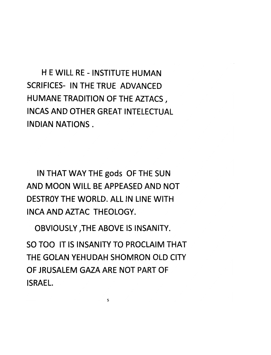*H E WILL RE - INSTITUTE HUMAN SCRIFICES- IN THE TRUE ADVANCED HUMANE TRADITION OF THE AZTACS, INCAS AND OTHER GREAT INTELECTUAL INDIAN NATIONS.*

*IN THAT WAY THE gods OF THE SUN AND MOON WILL BE APPEASED AND NOT DESTROY THE WORLD. ALL IN LINE WITH INCAANDAZTAC THEOLOGY.*

*OBVIOUSLY /THE ABOVE IS INSANITY.*

*SO TOO IT IS INSANITY TO PROCLAIM THAT THE GOLAN YEHUDAH SHOMRON OLD CITY OF JRUSALEM GAZA ARE NOT PART OF ISRAEL.*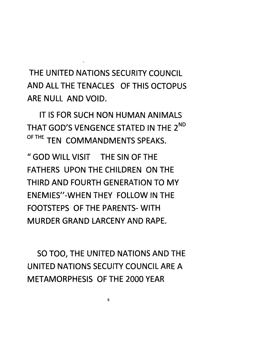*THE UNITED NATIONS SECURITY COUNCIL ANDALLTHETENACLES OF THIS OCTOPUS ARE NULL AND VOID.*

*IT IS FOR SUCH NON HUMAN ANIMALS THAT GOD'S VENGENCE STATED IN THE 2nd 0FTHE TEN COMMANDMENTS SPEAKS.*

*" GOD WILL VISIT THE SIN OF THE FATHERS UPON THE CHILDREN ON THE THIRD AND FOURTH GENERATION TO MY ENEMIES"-WHENTHEY FOLLOW IN THE FOOTSTEPS OF THE PARENTS-WITH MURDER GRAND LARCENY AND RAPE.*

*SO TOO, THE UNITED NATIONS AND THE UNITED NATIONS SECUITY COUNCIL ARE A METAMORPHESIS OF THE 2000 YEAR*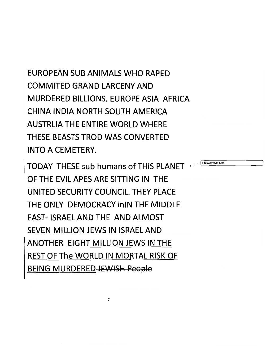*EUROPEAN SUB ANIMALS WHO RAPED COMMITED GRAND LARCENY AND MURDERED BILLIONS. EUROPE ASIA AFRICA CHINA INDIA NORTH SOUTH AMERICA AUSTRUA THE ENTIRE WORLD WHERE THESE BEASTS TROD WAS CONVERTED INTO A CEMETERY.*

*TODAY THESE sub humans of THIS PLANET - OF THE EVIL APES ARE SITTING IN THE UNITED SECURITY COUNCIL. THEY PLACE THE ONLY DEMOCRACY inIN THE MIDDLE EAST- ISRAEL AND THE AND ALMOST SEVEN MILLION JEWS IN ISRAEL AND ANOTHER EIGHT MILLION JEWS IN THE REST OF The WORLD IN MORTAL RISK OF BEING MURDERED JEWISH Pooplo*

 $\overline{7}$ 

*Formatted: Left*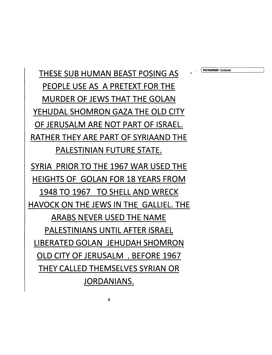*THESE SUB HUMAN BEAST POSING AS - \«™»\*<^ PEOPLE USE AS A PRETEXT FOR THE MURDER OF JEWS THAT THE GOLAN YEHUDAL SHOMRON GAZA THE OLD CITY OF JERUSALM ARE NOT PART OF ISRAEL RATHER THEY ARE PART OF SYRIAAND THE PALESTINIAN FUTURE STATE.*

*SYRIA PRIOR TO THE 1967 WAR USED THE HEIGHTS OF GOLAN FOR 18 YEARS FROM 1948 TO 1967 TO SHELL AND WRECK* **HAVOCK ON THE JEWS IN THE GALLIEL. THE** *ARABS NEVER USED THE NAME PALESTINIANS UNTIL AFTER ISRAEL LIBERATED GOLAN JEHUDAH SHOMRON OLD CITY OF JERUSALM . BEFORE 1967 THEY CALLED THEMSELVES SYRIAN OR JORDANIANS.*

8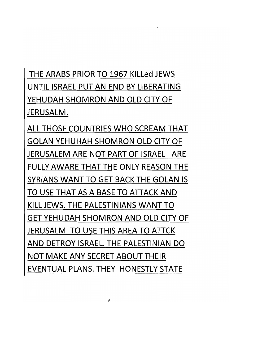#### *THE ARABS PRIOR TO 1967 KILLed JEWS UNTIL ISRAEL PUT AN END BY LIBERATING YEHUDAH SHOMRON AND OLD CITY OF JERUSALM.*

*ALL THOSE COUNTRIES WHO SCREAM THAT GOLAN YEHUHAH SHOMRON OLD CITY OF JERUSALEM ARE NOT PART OF ISRAEL ARE FULLY AWARE THAT THE ONLY REASON THE SYRIANS WANT TO GET BACK THE GOLAN IS TO USE THAT AS A BASE TO ATTACK AND KILL JEWS. THE PALESTINIANS WANT TO GET YEHUDAH SHOMRON AND OLD CITY OF JERUSALM TO USE THIS AREA TO ATTCK AND DETROY ISRAEL THE PALESTINIAN DO NOT MAKE ANY SECRET ABOUT THEIR EVENTUAL PLANS. THEY HONESTLY STATE*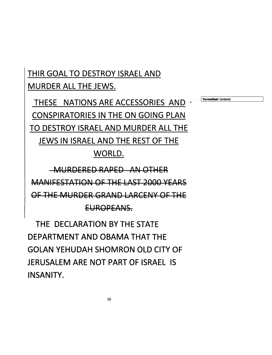*THIR GOAL TO DESTROY ISRAEL AND MURDER ALL THE JEWS.*

*THESE NATIONS ARE ACCESSORIES AND - CONSPIRATORIES IN THE ON GOING PLAN TO DESTROY ISRAEL AND MURDER ALL THE JEWS IN ISRAEL AND THE REST OF THE*

*Formatted:* Centered

#### *WORLD.*

*MURDERED RAPED ANOTHER MANIFESTATION OF THE LAST 2000 YEARS OF THE MURDER GRAND LARCENY OF THE EUROPEANS.*

*THE DECLARATION BY THE STATE DEPARTMENT AND OBAMA THAT THE GOLAN YEHUDAH SHOMRON OLD CITY OF JERUSALEM ARE NOT PART OF ISRAEL IS INSANITY.*

*10*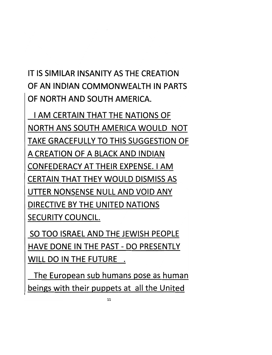#### *IT IS SIMILAR INSANITY AS THE CREATION OF AN INDIAN COMMONWEALTH IN PARTS OF NORTH AND SOUTH AMERICA.*

*I AM CERTAIN THAT THE NATIONS OF NORTH ANS SOUTH AMERICA WOULD NOT TAKE GRACEFULLY TO THIS SUGGESTION OF A CREATION OF A BLACK AND INDIAN CONFEDERACY AT THEIR EXPENSE. I AM CERTAIN THAT THEY WOULD DISMISS AS UTTER NONSENSE NULL AND VOID ANY DIRECTIVE BY THE UNITED NATIONS SECURITY COUNCIL*

*SO TOO ISRAEL AND THE JEWISH PEOPLE HAVE DONE IN THE PAST - DO PRESENTLY WILL DO IN THE FUTURE .*

*The European sub humans pose as human beings with their puppets at all the United*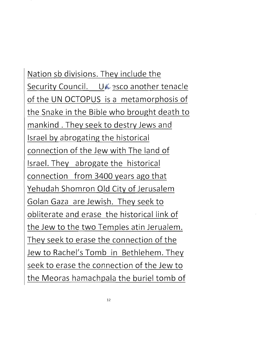Nation sb divisions. They include the Security Council. UX 3sco another tenacle of the UN OCTOPUS is a metamorphosis of the Snake in the Bible who brought death to mankind . They seek to destry Jews and Israel by abrogating the historical connection of the Jew with The land of Israel. They abrogate the historical connection from 3400 years ago that Yehudah Shomron Old City of Jerusalem Golan Gaza are Jewish. They seek to obliterate *and* erase the historical link of the Jew to the two Temples atin Jerualem. They seek to erase the connection of the Jew to Rachel's Tomb in Bethlehem. They seek to erase the connection of the Jew to the Meoras hamachpala the buriel tomb of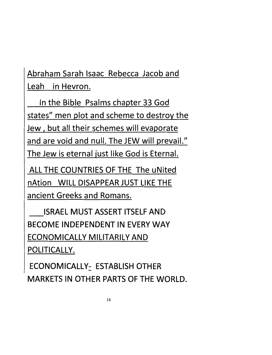*Abraham Sarah Isaac Rebecca Jacob and Leah in Hevron.*

*In the Bible Psalms chapter 33 God states" men plot and scheme to destroy the Jew, but all their schemes will evaporate and are void and null. The JEW will prevail." The Jew is eternal just like God is Eternal.*

*ALL THE COUNTRIES OF THE The uNited nAtion WILL DISAPPEAR JUST LIKE THE ancient Greeks and Romans.*

*ISRAEL MUST ASSERT ITSELF AND BECOME INDEPENDENT IN EVERY WAY ECONOMICALLY MILITARILY AND POLITICALLY.*

*ECONOMICALLY: ESTABLISH OTHER MARKETS IN OTHER PARTS OF THE WORLD.*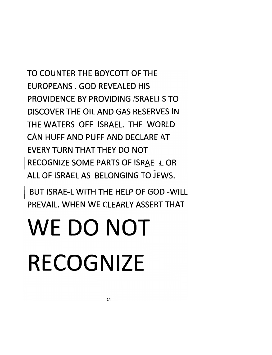*TO COUNTER THE BOYCOTT OF THE EUROPEANS . GOD REVEALED HIS PROVIDENCE BY PROVIDING ISRAELI S TO DISCOVER THE OIL AND GAS RESERVES IN THE WATERS OFF ISRAEL THE WORLD CAN HUFF AND PUFF AND DECLARE AT EVERY TURN THAT THEY DO NOT RECOGNIZE SOME PARTS OF ISRAE L OR ALL OF ISRAEL AS BELONGING TO JEWS.*

*BUT ISRAE-L WITH THE HELP OF GOD -WILL PREVAIL. WHEN WE CLEARLY ASSERT THAT*

#### *WE DO NOT RECOGNIZE*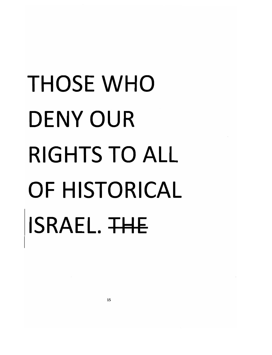#### *THOSE WHO DENY OUR RIGHTS TO ALL OF HISTORICAL ISRAEL. TH£*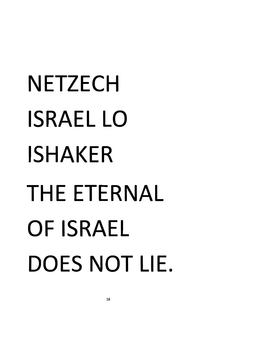# *NETZECH ISRAEL LO ISHAKER THE ETERNAL OF ISRAEL DOES NOT LIE.*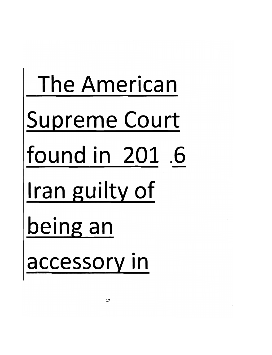# The American Supreme Court found in 201 .6 ran guilty of being an accessory in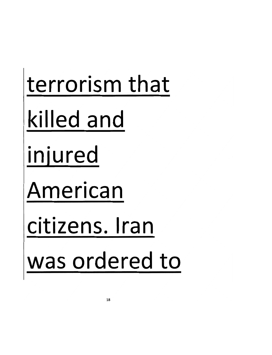## terrorism that killed and injured American citizens. Iran was ordered to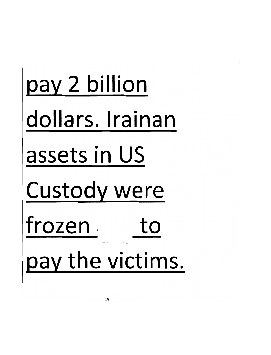# pay 2 billion dollars. Irainan assets in US Custody were frozen to pay the victims.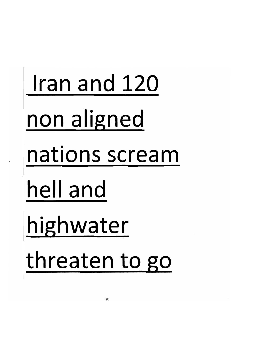#### Iran and 120 non aligned nations scream hell and highwater threaten to go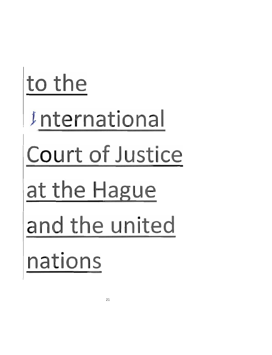# to the Internationa Court of Justice at the Hague and the united nations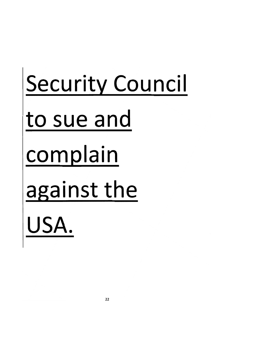# Security Council to sue and complain against the USA.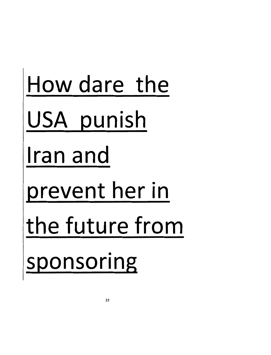# How dare the USA punish ran and prevent her in the future from sponsoring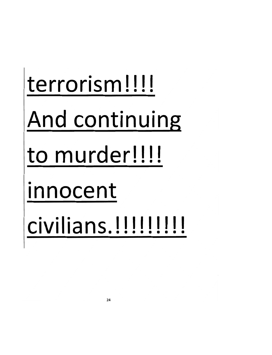# terrorism!!!! And continuing to murder!!!! innocent civilians.!!!!!!!!!!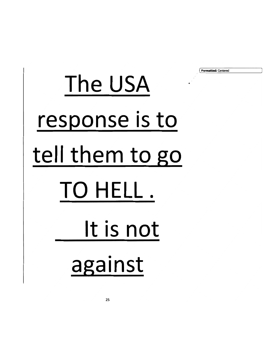The USA response is to tell them to go TO HELL. It is not against

*{ Formatted:* Centered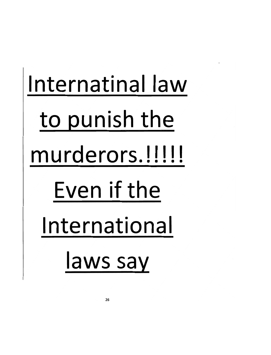# nternatinal law to punish the murderors.!!!!! Even if the International laws say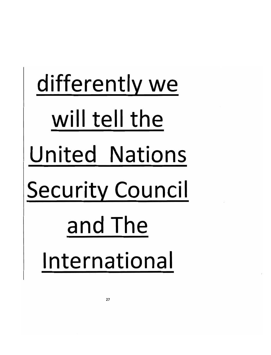# differently we will tell the United Nations Security Council and The International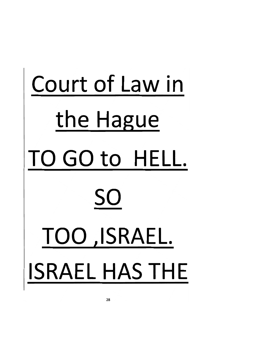# *Court of Law in the Hague TO GO to HELL. SO TOO .ISRAEL SRAEL HAS THE*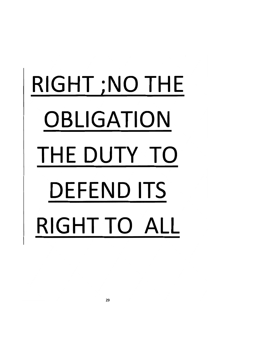# *RIGHT ;N0 THE OBLIGATION THE DUTY TO DEFEND ITS RIGHT TO ALL*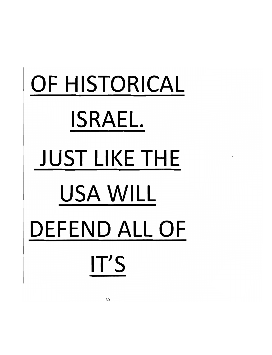# *OF HISTORICAL SRAEL JUST LIKE THE USA WILL DEFEND ALL OF IT'S*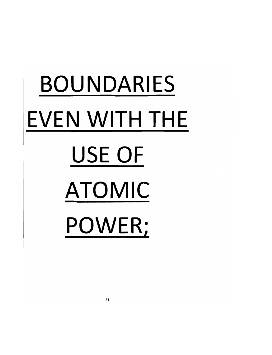# *BOUNDARIES EVEN WITH THE USE OF ATOMIC POWER;*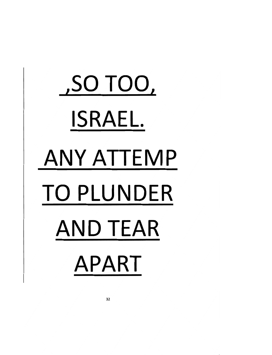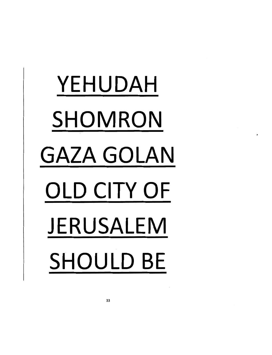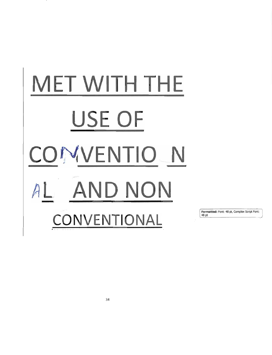

*Formatted:* Font: 48 pt, Complex Script Font: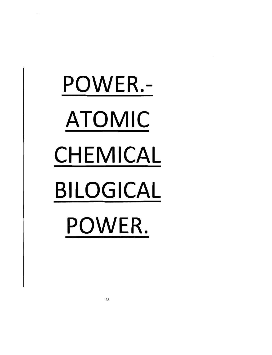*POWER.- ATOMIC CHEMICAL BILOGICAL POWER.*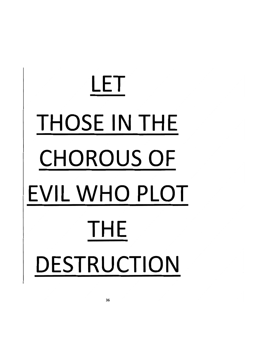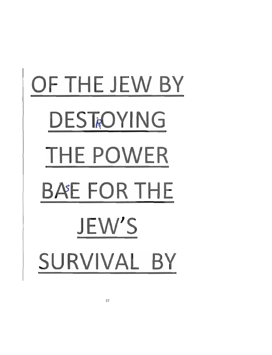# *OF THE JEW BY* **DESTROYING** *THE POWER* **BAEFORTHE** *JEW'S SURVIVAL BY*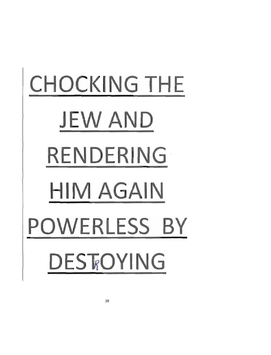# *CHOCKING THE JEW AND RENDERING HIM AGAIN POWERLESS BY DESTROYING*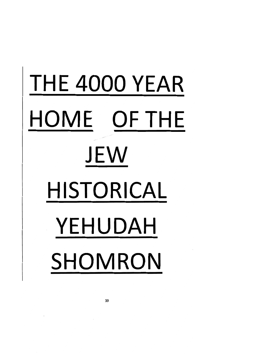# *THE 4000 YEAR HOME OF THE JEW HISTORICAL YEHUDAH SHOMRON*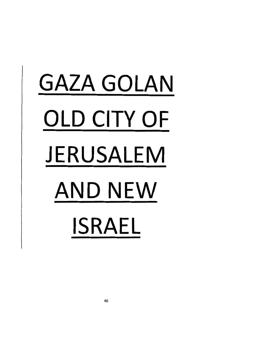# *GAZA GOLAN OLD CITY OF JERUSALEM AND NEW ISRAEL*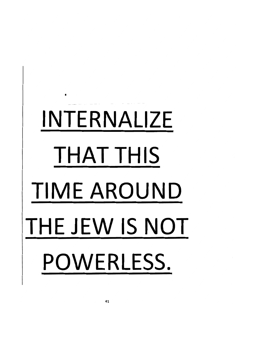# *INTERNALIZE THAT THIS TIME AROUND THE JEW IS NOT POWERLESS.*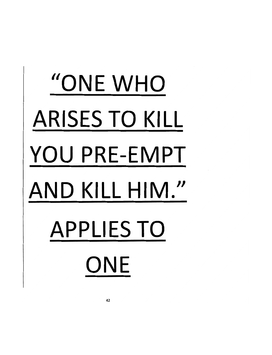# *"ONE WHO ARISES TO KILL YOU PRE-EMPT AND KILL HIM." APPLIES TO ONE*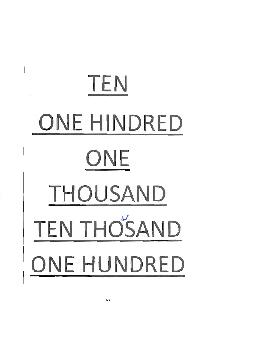

*43*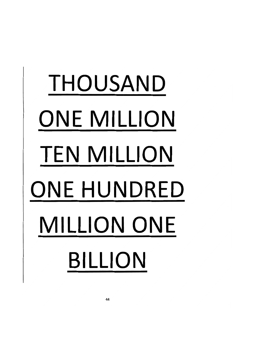# *THOUSAND ONE MILLION TEN MILLION ONE HUNDRED MILLION ONE BILLION*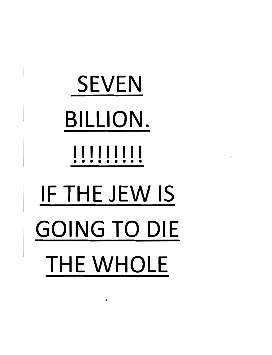# *SEVEN BILLION. lllllllll F THE JEW IS GOING TO DIE THE WHOLE*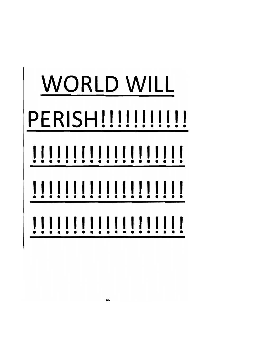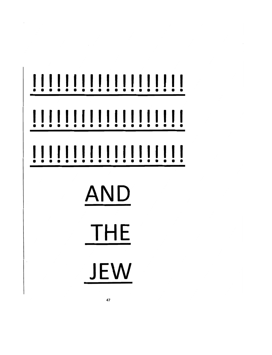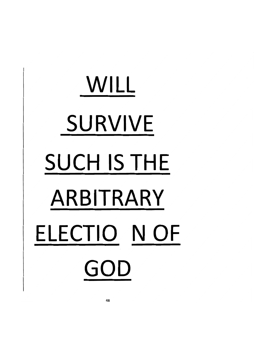# *WILL SURVIVE SUCH IS THE ARBITRARY ELECTIO NOF GOD*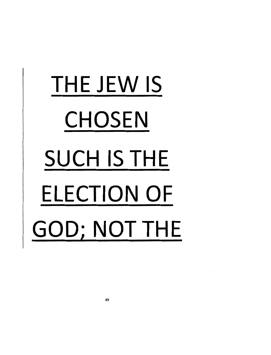# *THE JEW IS CHOSEN SUCH IS THE ELECTION OF GOD: NOT THE*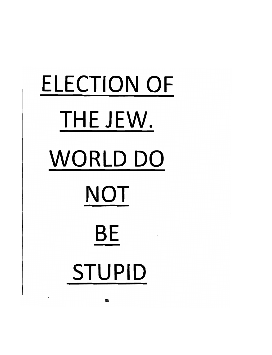# *ELECTION OF THE JEW. WORLD DO NOT* **BE** *STUPID*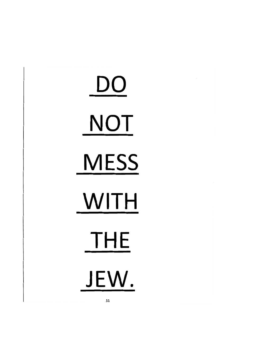*DO NOT MESS WITH THE JEW.*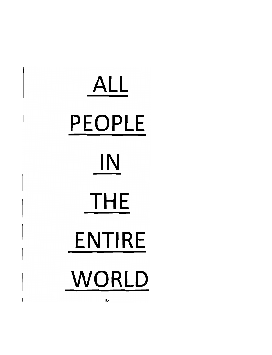# *ALL PEOPLE IN THE ENTIRE WORLD*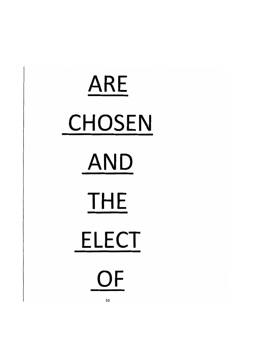# *ARE CHOSEN AND THE ELECT OF*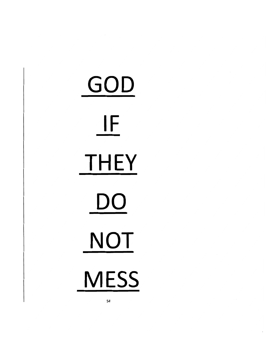*GOD \_IF THEY DO NOT MESS*